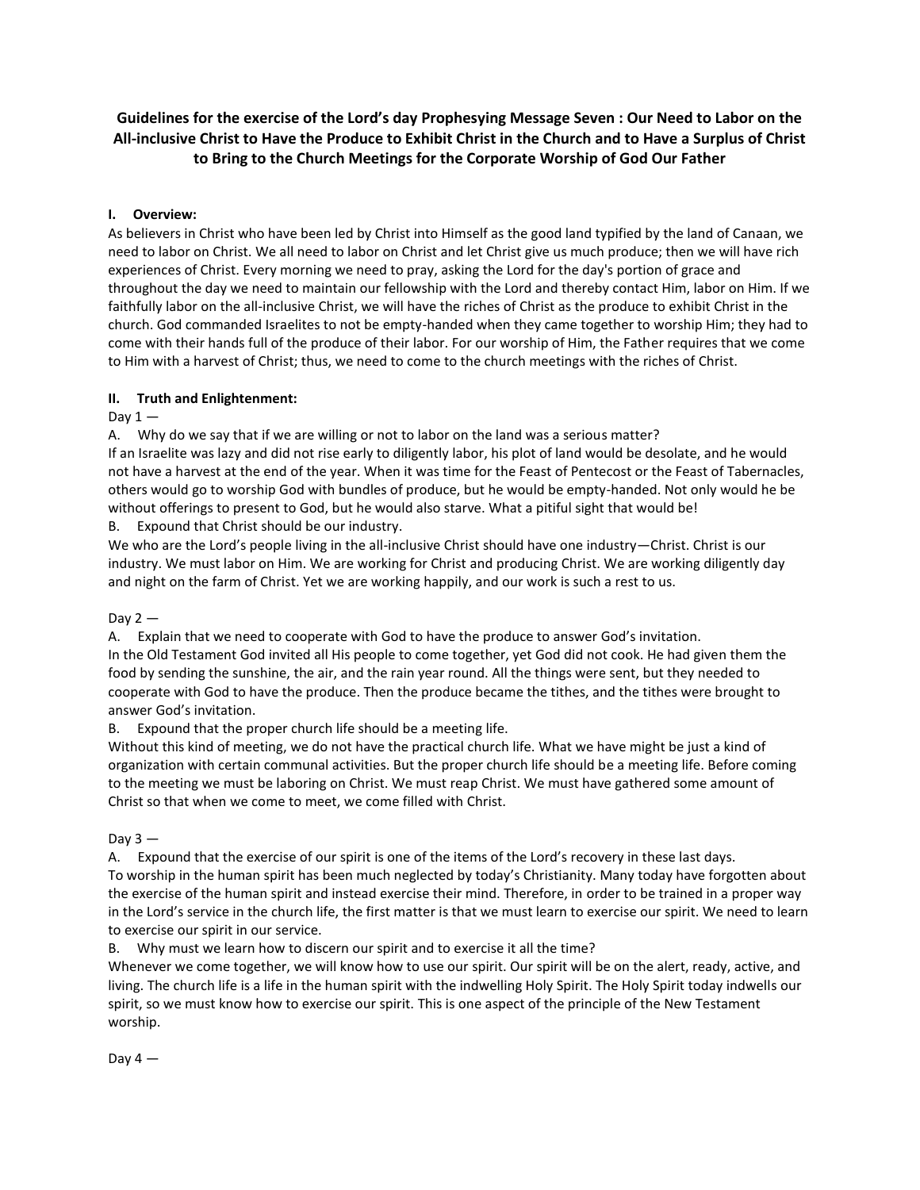# **Guidelines for the exercise of the Lord's day Prophesying Message Seven : Our Need to Labor on the All-inclusive Christ to Have the Produce to Exhibit Christ in the Church and to Have a Surplus of Christ to Bring to the Church Meetings for the Corporate Worship of God Our Father**

## **I. Overview:**

As believers in Christ who have been led by Christ into Himself as the good land typified by the land of Canaan, we need to labor on Christ. We all need to labor on Christ and let Christ give us much produce; then we will have rich experiences of Christ. Every morning we need to pray, asking the Lord for the day's portion of grace and throughout the day we need to maintain our fellowship with the Lord and thereby contact Him, labor on Him. If we faithfully labor on the all-inclusive Christ, we will have the riches of Christ as the produce to exhibit Christ in the church. God commanded Israelites to not be empty-handed when they came together to worship Him; they had to come with their hands full of the produce of their labor. For our worship of Him, the Father requires that we come to Him with a harvest of Christ; thus, we need to come to the church meetings with the riches of Christ.

### **II. Truth and Enlightenment:**

### Dav  $1 -$

A. Why do we say that if we are willing or not to labor on the land was a serious matter?

If an Israelite was lazy and did not rise early to diligently labor, his plot of land would be desolate, and he would not have a harvest at the end of the year. When it was time for the Feast of Pentecost or the Feast of Tabernacles, others would go to worship God with bundles of produce, but he would be empty-handed. Not only would he be without offerings to present to God, but he would also starve. What a pitiful sight that would be!

B. Expound that Christ should be our industry.

We who are the Lord's people living in the all-inclusive Christ should have one industry—Christ. Christ is our industry. We must labor on Him. We are working for Christ and producing Christ. We are working diligently day and night on the farm of Christ. Yet we are working happily, and our work is such a rest to us.

Day  $2-$ 

A. Explain that we need to cooperate with God to have the produce to answer God's invitation. In the Old Testament God invited all His people to come together, yet God did not cook. He had given them the food by sending the sunshine, the air, and the rain year round. All the things were sent, but they needed to cooperate with God to have the produce. Then the produce became the tithes, and the tithes were brought to answer God's invitation.

B. Expound that the proper church life should be a meeting life.

Without this kind of meeting, we do not have the practical church life. What we have might be just a kind of organization with certain communal activities. But the proper church life should be a meeting life. Before coming to the meeting we must be laboring on Christ. We must reap Christ. We must have gathered some amount of Christ so that when we come to meet, we come filled with Christ.

Day  $3 -$ 

A. Expound that the exercise of our spirit is one of the items of the Lord's recovery in these last days. To worship in the human spirit has been much neglected by today's Christianity. Many today have forgotten about the exercise of the human spirit and instead exercise their mind. Therefore, in order to be trained in a proper way in the Lord's service in the church life, the first matter is that we must learn to exercise our spirit. We need to learn to exercise our spirit in our service.

B. Why must we learn how to discern our spirit and to exercise it all the time?

Whenever we come together, we will know how to use our spirit. Our spirit will be on the alert, ready, active, and living. The church life is a life in the human spirit with the indwelling Holy Spirit. The Holy Spirit today indwells our spirit, so we must know how to exercise our spirit. This is one aspect of the principle of the New Testament worship.

Day  $4-$